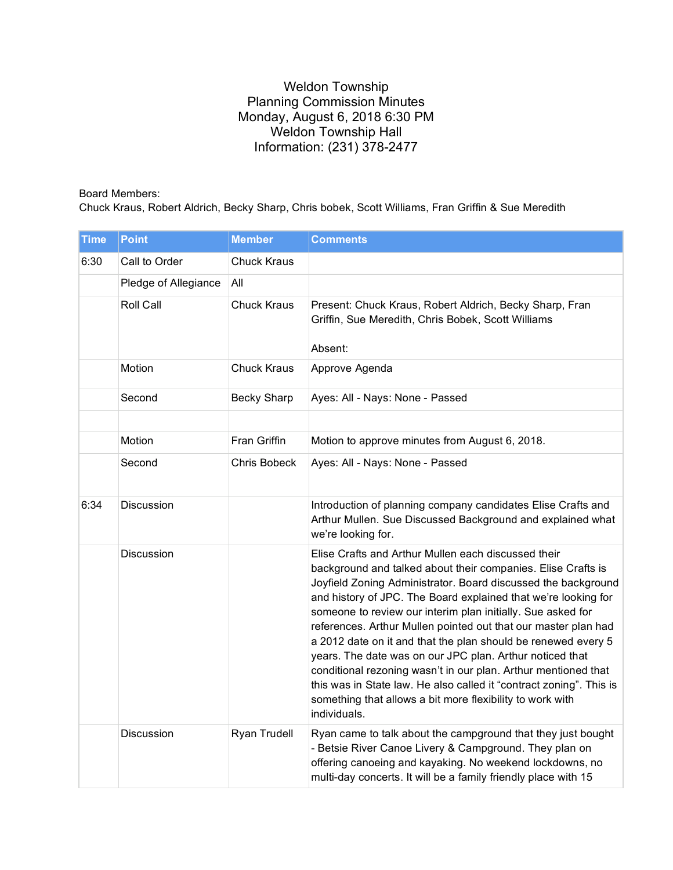## Weldon Township Planning Commission Minutes Monday, August 6, 2018 6:30 PM Weldon Township Hall Information: (231) 378-2477

## Board Members:

Chuck Kraus, Robert Aldrich, Becky Sharp, Chris bobek, Scott Williams, Fran Griffin & Sue Meredith

| <b>Time</b> | <b>Point</b>         | <b>Member</b>       | <b>Comments</b>                                                                                                                                                                                                                                                                                                                                                                                                                                                                                                                                                                                                                                                                                                                            |
|-------------|----------------------|---------------------|--------------------------------------------------------------------------------------------------------------------------------------------------------------------------------------------------------------------------------------------------------------------------------------------------------------------------------------------------------------------------------------------------------------------------------------------------------------------------------------------------------------------------------------------------------------------------------------------------------------------------------------------------------------------------------------------------------------------------------------------|
| 6:30        | Call to Order        | <b>Chuck Kraus</b>  |                                                                                                                                                                                                                                                                                                                                                                                                                                                                                                                                                                                                                                                                                                                                            |
|             | Pledge of Allegiance | All                 |                                                                                                                                                                                                                                                                                                                                                                                                                                                                                                                                                                                                                                                                                                                                            |
|             | Roll Call            | <b>Chuck Kraus</b>  | Present: Chuck Kraus, Robert Aldrich, Becky Sharp, Fran<br>Griffin, Sue Meredith, Chris Bobek, Scott Williams<br>Absent:                                                                                                                                                                                                                                                                                                                                                                                                                                                                                                                                                                                                                   |
|             | Motion               | <b>Chuck Kraus</b>  | Approve Agenda                                                                                                                                                                                                                                                                                                                                                                                                                                                                                                                                                                                                                                                                                                                             |
|             | Second               | <b>Becky Sharp</b>  | Ayes: All - Nays: None - Passed                                                                                                                                                                                                                                                                                                                                                                                                                                                                                                                                                                                                                                                                                                            |
|             |                      |                     |                                                                                                                                                                                                                                                                                                                                                                                                                                                                                                                                                                                                                                                                                                                                            |
|             | Motion               | Fran Griffin        | Motion to approve minutes from August 6, 2018.                                                                                                                                                                                                                                                                                                                                                                                                                                                                                                                                                                                                                                                                                             |
|             | Second               | <b>Chris Bobeck</b> | Ayes: All - Nays: None - Passed                                                                                                                                                                                                                                                                                                                                                                                                                                                                                                                                                                                                                                                                                                            |
| 6:34        | Discussion           |                     | Introduction of planning company candidates Elise Crafts and<br>Arthur Mullen. Sue Discussed Background and explained what<br>we're looking for.                                                                                                                                                                                                                                                                                                                                                                                                                                                                                                                                                                                           |
|             | Discussion           |                     | Elise Crafts and Arthur Mullen each discussed their<br>background and talked about their companies. Elise Crafts is<br>Joyfield Zoning Administrator. Board discussed the background<br>and history of JPC. The Board explained that we're looking for<br>someone to review our interim plan initially. Sue asked for<br>references. Arthur Mullen pointed out that our master plan had<br>a 2012 date on it and that the plan should be renewed every 5<br>years. The date was on our JPC plan. Arthur noticed that<br>conditional rezoning wasn't in our plan. Arthur mentioned that<br>this was in State law. He also called it "contract zoning". This is<br>something that allows a bit more flexibility to work with<br>individuals. |
|             | Discussion           | Ryan Trudell        | Ryan came to talk about the campground that they just bought<br>- Betsie River Canoe Livery & Campground. They plan on<br>offering canoeing and kayaking. No weekend lockdowns, no<br>multi-day concerts. It will be a family friendly place with 15                                                                                                                                                                                                                                                                                                                                                                                                                                                                                       |